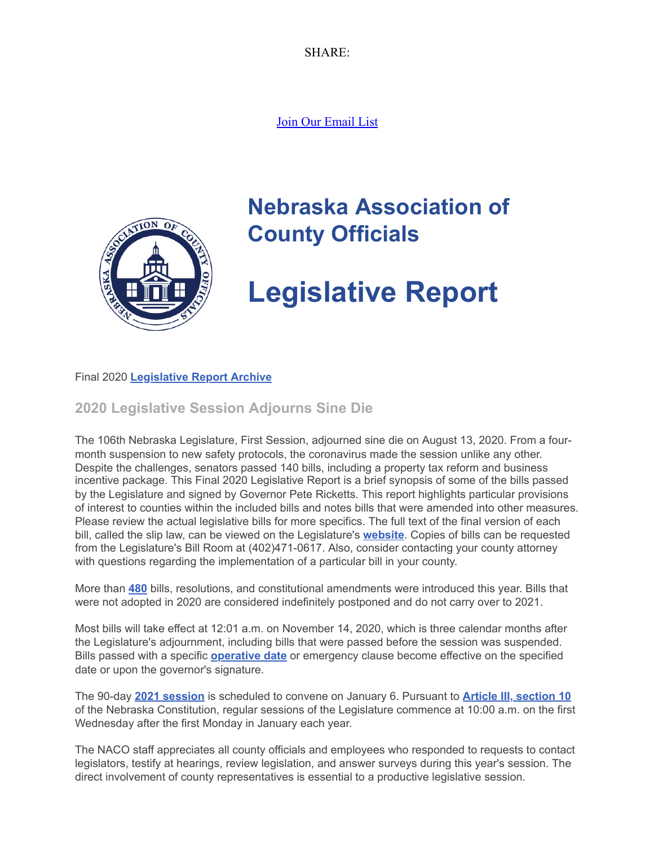SHARE:

[Join Our Email List](https://visitor.constantcontact.com/d.jsp?m=1104412315568&p=oi)



# **Nebraska Association of County Officials**

# **Legislative Report**

### Final 2020 **[Legislative Report Archive](https://nacone.org/webpages/legislative/legislative_newsletter.html)**

# **2020 Legislative Session Adjourns Sine Die**

The 106th Nebraska Legislature, First Session, adjourned sine die on August 13, 2020. From a fourmonth suspension to new safety protocols, the coronavirus made the session unlike any other. Despite the challenges, senators passed 140 bills, including a property tax reform and business incentive package. This Final 2020 Legislative Report is a brief synopsis of some of the bills passed by the Legislature and signed by Governor Pete Ricketts. This report highlights particular provisions of interest to counties within the included bills and notes bills that were amended into other measures. Please review the actual legislative bills for more specifics. The full text of the final version of each bill, called the slip law, can be viewed on the Legislature's **[website](https://nebraskalegislature.gov/)**. Copies of bills can be requested from the Legislature's Bill Room at (402)471-0617. Also, consider contacting your county attorney with questions regarding the implementation of a particular bill in your county.

More than **[480](https://nebraskalegislature.gov/FloorDocs/Current/PDF/WorkSheet/r2dayfinal.pdf)** bills, resolutions, and constitutional amendments were introduced this year. Bills that were not adopted in 2020 are considered indefinitely postponed and do not carry over to 2021.

Most bills will take effect at 12:01 a.m. on November 14, 2020, which is three calendar months after the Legislature's adjournment, including bills that were passed before the session was suspended. Bills passed with a specific **[operative date](https://nebraskalegislature.gov/pdf/reports/revisor/datelist2020.pdf)** or emergency clause become effective on the specified date or upon the governor's signature.

The 90-day **[2021 session](https://nebraskalegislature.gov/pdf/session/2021tentativecalendar.pdf)** is scheduled to convene on January 6. Pursuant to **[Article III, section 10](https://nebraskalegislature.gov/laws/articles.php?article=III-10)** of the Nebraska Constitution, regular sessions of the Legislature commence at 10:00 a.m. on the first Wednesday after the first Monday in January each year.

The NACO staff appreciates all county officials and employees who responded to requests to contact legislators, testify at hearings, review legislation, and answer surveys during this year's session. The direct involvement of county representatives is essential to a productive legislative session.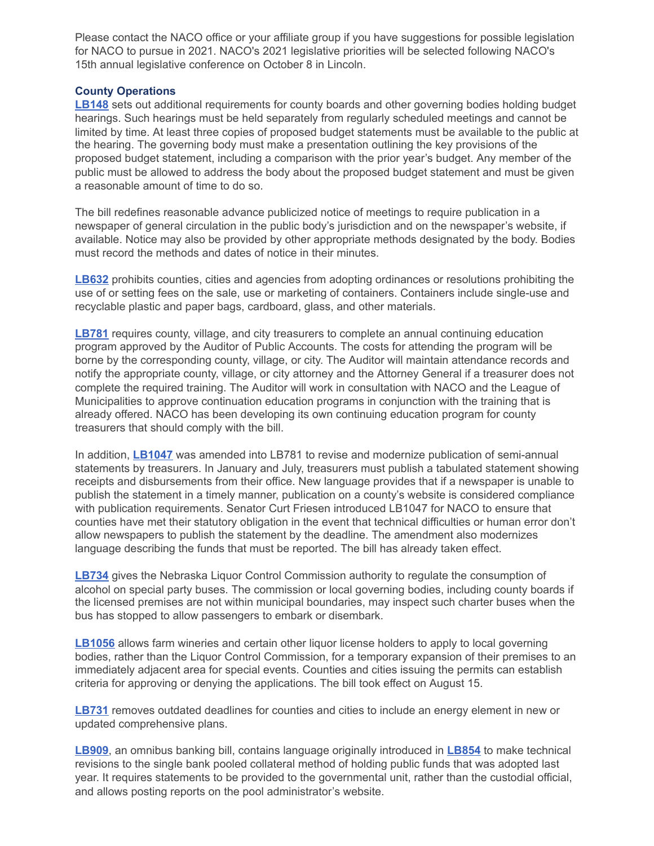Please contact the NACO office or your affiliate group if you have suggestions for possible legislation for NACO to pursue in 2021. NACO's 2021 legislative priorities will be selected following NACO's 15th annual legislative conference on October 8 in Lincoln.

#### **County Operations**

**[LB148](https://nebraskalegislature.gov/bills/view_bill.php?DocumentID=36886)** sets out additional requirements for county boards and other governing bodies holding budget hearings. Such hearings must be held separately from regularly scheduled meetings and cannot be limited by time. At least three copies of proposed budget statements must be available to the public at the hearing. The governing body must make a presentation outlining the key provisions of the proposed budget statement, including a comparison with the prior year's budget. Any member of the public must be allowed to address the body about the proposed budget statement and must be given a reasonable amount of time to do so.

The bill redefines reasonable advance publicized notice of meetings to require publication in a newspaper of general circulation in the public body's jurisdiction and on the newspaper's website, if available. Notice may also be provided by other appropriate methods designated by the body. Bodies must record the methods and dates of notice in their minutes.

**[LB632](https://nebraskalegislature.gov/bills/view_bill.php?DocumentID=37812)** prohibits counties, cities and agencies from adopting ordinances or resolutions prohibiting the use of or setting fees on the sale, use or marketing of containers. Containers include single-use and recyclable plastic and paper bags, cardboard, glass, and other materials.

**[LB781](https://nebraskalegislature.gov/bills/view_bill.php?DocumentID=40881)** requires county, village, and city treasurers to complete an annual continuing education program approved by the Auditor of Public Accounts. The costs for attending the program will be borne by the corresponding county, village, or city. The Auditor will maintain attendance records and notify the appropriate county, village, or city attorney and the Attorney General if a treasurer does not complete the required training. The Auditor will work in consultation with NACO and the League of Municipalities to approve continuation education programs in conjunction with the training that is already offered. NACO has been developing its own continuing education program for county treasurers that should comply with the bill.

In addition, **[LB1047](https://nebraskalegislature.gov/bills/view_bill.php?DocumentID=40993)** was amended into LB781 to revise and modernize publication of semi-annual statements by treasurers. In January and July, treasurers must publish a tabulated statement showing receipts and disbursements from their office. New language provides that if a newspaper is unable to publish the statement in a timely manner, publication on a county's website is considered compliance with publication requirements. Senator Curt Friesen introduced LB1047 for NACO to ensure that counties have met their statutory obligation in the event that technical difficulties or human error don't allow newspapers to publish the statement by the deadline. The amendment also modernizes language describing the funds that must be reported. The bill has already taken effect.

**[LB734](https://nebraskalegislature.gov/bills/view_bill.php?DocumentID=37798)** gives the Nebraska Liquor Control Commission authority to regulate the consumption of alcohol on special party buses. The commission or local governing bodies, including county boards if the licensed premises are not within municipal boundaries, may inspect such charter buses when the bus has stopped to allow passengers to embark or disembark.

**[LB1056](https://nebraskalegislature.gov/bills/view_bill.php?DocumentID=40895)** allows farm wineries and certain other liquor license holders to apply to local governing bodies, rather than the Liquor Control Commission, for a temporary expansion of their premises to an immediately adjacent area for special events. Counties and cities issuing the permits can establish criteria for approving or denying the applications. The bill took effect on August 15.

**[LB731](https://nebraskalegislature.gov/bills/view_bill.php?DocumentID=37747)** removes outdated deadlines for counties and cities to include an energy element in new or updated comprehensive plans.

**[LB909](https://nebraskalegislature.gov/bills/view_bill.php?DocumentID=41299)**, an omnibus banking bill, contains language originally introduced in **[LB854](https://nebraskalegislature.gov/bills/view_bill.php?DocumentID=41038)** to make technical revisions to the single bank pooled collateral method of holding public funds that was adopted last year. It requires statements to be provided to the governmental unit, rather than the custodial official, and allows posting reports on the pool administrator's website.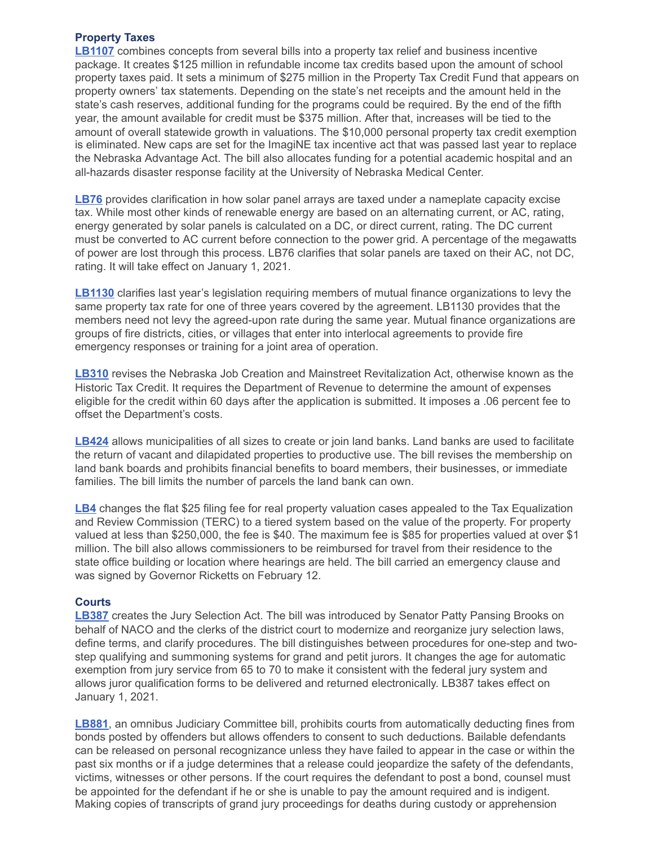#### **Property Taxes**

**[LB1107](https://nebraskalegislature.gov/bills/view_bill.php?DocumentID=41565)** combines concepts from several bills into a property tax relief and business incentive package. It creates \$125 million in refundable income tax credits based upon the amount of school property taxes paid. It sets a minimum of \$275 million in the Property Tax Credit Fund that appears on property owners' tax statements. Depending on the state's net receipts and the amount held in the state's cash reserves, additional funding for the programs could be required. By the end of the fifth year, the amount available for credit must be \$375 million. After that, increases will be tied to the amount of overall statewide growth in valuations. The \$10,000 personal property tax credit exemption is eliminated. New caps are set for the ImagiNE tax incentive act that was passed last year to replace the Nebraska Advantage Act. The bill also allocates funding for a potential academic hospital and an all-hazards disaster response facility at the University of Nebraska Medical Center.

**[LB76](https://nebraskalegislature.gov/bills/view_bill.php?DocumentID=37481)** provides clarification in how solar panel arrays are taxed under a nameplate capacity excise tax. While most other kinds of renewable energy are based on an alternating current, or AC, rating, energy generated by solar panels is calculated on a DC, or direct current, rating. The DC current must be converted to AC current before connection to the power grid. A percentage of the megawatts of power are lost through this process. LB76 clarifies that solar panels are taxed on their AC, not DC, rating. It will take effect on January 1, 2021.

**[LB1130](https://nebraskalegislature.gov/bills/view_bill.php?DocumentID=41135)** clarifies last year's legislation requiring members of mutual finance organizations to levy the same property tax rate for one of three years covered by the agreement. LB1130 provides that the members need not levy the agreed-upon rate during the same year. Mutual finance organizations are groups of fire districts, cities, or villages that enter into interlocal agreements to provide fire emergency responses or training for a joint area of operation.

**[LB310](https://nebraskalegislature.gov/bills/view_bill.php?DocumentID=37661)** revises the Nebraska Job Creation and Mainstreet Revitalization Act, otherwise known as the Historic Tax Credit. It requires the Department of Revenue to determine the amount of expenses eligible for the credit within 60 days after the application is submitted. It imposes a .06 percent fee to offset the Department's costs.

**[LB424](https://nebraskalegislature.gov/bills/view_bill.php?DocumentID=37082)** allows municipalities of all sizes to create or join land banks. Land banks are used to facilitate the return of vacant and dilapidated properties to productive use. The bill revises the membership on land bank boards and prohibits financial benefits to board members, their businesses, or immediate families. The bill limits the number of parcels the land bank can own.

**[LB4](https://nebraskalegislature.gov/bills/view_bill.php?DocumentID=36892)** changes the flat \$25 filing fee for real property valuation cases appealed to the Tax Equalization and Review Commission (TERC) to a tiered system based on the value of the property. For property valued at less than \$250,000, the fee is \$40. The maximum fee is \$85 for properties valued at over \$1 million. The bill also allows commissioners to be reimbursed for travel from their residence to the state office building or location where hearings are held. The bill carried an emergency clause and was signed by Governor Ricketts on February 12.

#### **Courts**

**[LB387](https://nebraskalegislature.gov/bills/view_bill.php?DocumentID=37233)** creates the Jury Selection Act. The bill was introduced by Senator Patty Pansing Brooks on behalf of NACO and the clerks of the district court to modernize and reorganize jury selection laws, define terms, and clarify procedures. The bill distinguishes between procedures for one-step and twostep qualifying and summoning systems for grand and petit jurors. It changes the age for automatic exemption from jury service from 65 to 70 to make it consistent with the federal jury system and allows juror qualification forms to be delivered and returned electronically. LB387 takes effect on January 1, 2021.

**[LB881](https://nebraskalegislature.gov/bills/view_bill.php?DocumentID=40698)**, an omnibus Judiciary Committee bill, prohibits courts from automatically deducting fines from bonds posted by offenders but allows offenders to consent to such deductions. Bailable defendants can be released on personal recognizance unless they have failed to appear in the case or within the past six months or if a judge determines that a release could jeopardize the safety of the defendants, victims, witnesses or other persons. If the court requires the defendant to post a bond, counsel must be appointed for the defendant if he or she is unable to pay the amount required and is indigent. Making copies of transcripts of grand jury proceedings for deaths during custody or apprehension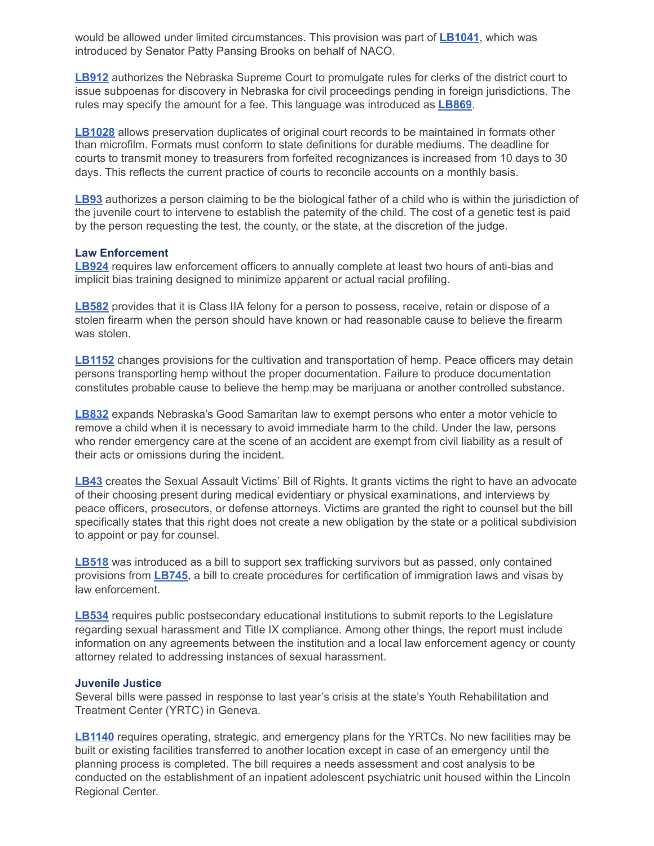would be allowed under limited circumstances. This provision was part of **[LB1041](https://nebraskalegislature.gov/bills/view_bill.php?DocumentID=41041)**, which was introduced by Senator Patty Pansing Brooks on behalf of NACO.

**[LB912](https://nebraskalegislature.gov/bills/view_bill.php?DocumentID=41059)** authorizes the Nebraska Supreme Court to promulgate rules for clerks of the district court to issue subpoenas for discovery in Nebraska for civil proceedings pending in foreign jurisdictions. The rules may specify the amount for a fee. This language was introduced as **[LB869](https://nebraskalegislature.gov/bills/view_bill.php?DocumentID=40929)**.

**[LB1028](https://nebraskalegislature.gov/bills/view_bill.php?DocumentID=41437)** allows preservation duplicates of original court records to be maintained in formats other than microfilm. Formats must conform to state definitions for durable mediums. The deadline for courts to transmit money to treasurers from forfeited recognizances is increased from 10 days to 30 days. This reflects the current practice of courts to reconcile accounts on a monthly basis.

**[LB93](https://nebraskalegislature.gov/bills/view_bill.php?DocumentID=36905)** authorizes a person claiming to be the biological father of a child who is within the jurisdiction of the juvenile court to intervene to establish the paternity of the child. The cost of a genetic test is paid by the person requesting the test, the county, or the state, at the discretion of the judge.

#### **Law Enforcement**

**[LB924](https://nebraskalegislature.gov/bills/view_bill.php?DocumentID=40704)** requires law enforcement officers to annually complete at least two hours of anti-bias and implicit bias training designed to minimize apparent or actual racial profiling.

**[LB582](https://nebraskalegislature.gov/bills/view_bill.php?DocumentID=37137)** provides that it is Class IIA felony for a person to possess, receive, retain or dispose of a stolen firearm when the person should have known or had reasonable cause to believe the firearm was stolen.

**[LB1152](https://nebraskalegislature.gov/bills/view_bill.php?DocumentID=40889)** changes provisions for the cultivation and transportation of hemp. Peace officers may detain persons transporting hemp without the proper documentation. Failure to produce documentation constitutes probable cause to believe the hemp may be marijuana or another controlled substance.

**[LB832](https://nebraskalegislature.gov/bills/view_bill.php?DocumentID=40942)** expands Nebraska's Good Samaritan law to exempt persons who enter a motor vehicle to remove a child when it is necessary to avoid immediate harm to the child. Under the law, persons who render emergency care at the scene of an accident are exempt from civil liability as a result of their acts or omissions during the incident.

**[LB43](https://nebraskalegislature.gov/bills/view_bill.php?DocumentID=37051)** creates the Sexual Assault Victims' Bill of Rights. It grants victims the right to have an advocate of their choosing present during medical evidentiary or physical examinations, and interviews by peace officers, prosecutors, or defense attorneys. Victims are granted the right to counsel but the bill specifically states that this right does not create a new obligation by the state or a political subdivision to appoint or pay for counsel.

**[LB518](https://nebraskalegislature.gov/bills/view_bill.php?DocumentID=37326)** was introduced as a bill to support sex trafficking survivors but as passed, only contained provisions from **[LB745](https://nebraskalegislature.gov/bills/view_bill.php?DocumentID=40721)**, a bill to create procedures for certification of immigration laws and visas by law enforcement.

**[LB534](https://nebraskalegislature.gov/bills/view_bill.php?DocumentID=36804)** requires public postsecondary educational institutions to submit reports to the Legislature regarding sexual harassment and Title IX compliance. Among other things, the report must include information on any agreements between the institution and a local law enforcement agency or county attorney related to addressing instances of sexual harassment.

#### **Juvenile Justice**

Several bills were passed in response to last year's crisis at the state's Youth Rehabilitation and Treatment Center (YRTC) in Geneva.

**[LB1140](https://nebraskalegislature.gov/bills/view_bill.php?DocumentID=41439)** requires operating, strategic, and emergency plans for the YRTCs. No new facilities may be built or existing facilities transferred to another location except in case of an emergency until the planning process is completed. The bill requires a needs assessment and cost analysis to be conducted on the establishment of an inpatient adolescent psychiatric unit housed within the Lincoln Regional Center.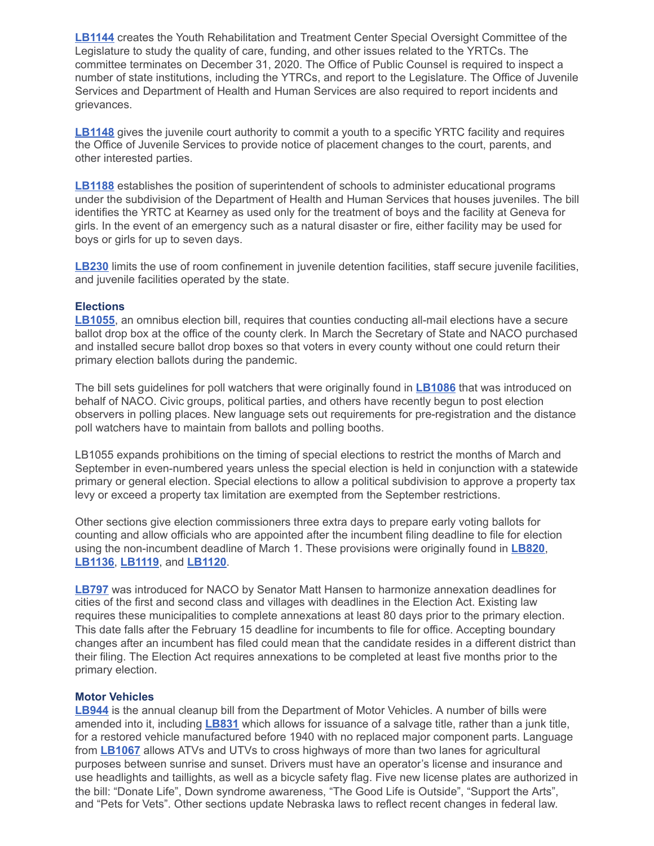**[LB1144](https://nebraskalegislature.gov/bills/view_bill.php?DocumentID=41064)** creates the Youth Rehabilitation and Treatment Center Special Oversight Committee of the Legislature to study the quality of care, funding, and other issues related to the YRTCs. The committee terminates on December 31, 2020. The Office of Public Counsel is required to inspect a number of state institutions, including the YTRCs, and report to the Legislature. The Office of Juvenile Services and Department of Health and Human Services are also required to report incidents and grievances.

**[LB1148](https://nebraskalegislature.gov/bills/view_bill.php?DocumentID=41449)** gives the juvenile court authority to commit a youth to a specific YRTC facility and requires the Office of Juvenile Services to provide notice of placement changes to the court, parents, and other interested parties.

**[LB1188](https://nebraskalegislature.gov/bills/view_bill.php?DocumentID=41538)** establishes the position of superintendent of schools to administer educational programs under the subdivision of the Department of Health and Human Services that houses juveniles. The bill identifies the YRTC at Kearney as used only for the treatment of boys and the facility at Geneva for girls. In the event of an emergency such as a natural disaster or fire, either facility may be used for boys or girls for up to seven days.

[LB230](https://nebraskalegislature.gov/bills/view_bill.php?DocumentID=37296) limits the use of room confinement in juvenile detention facilities, staff secure juvenile facilities, and juvenile facilities operated by the state.

#### **Elections**

**[LB1055](https://nebraskalegislature.gov/bills/view_bill.php?DocumentID=41372)**, an omnibus election bill, requires that counties conducting all-mail elections have a secure ballot drop box at the office of the county clerk. In March the Secretary of State and NACO purchased and installed secure ballot drop boxes so that voters in every county without one could return their primary election ballots during the pandemic.

The bill sets guidelines for poll watchers that were originally found in **[LB1086](https://nebraskalegislature.gov/bills/view_bill.php?DocumentID=41039)** that was introduced on behalf of NACO. Civic groups, political parties, and others have recently begun to post election observers in polling places. New language sets out requirements for pre-registration and the distance poll watchers have to maintain from ballots and polling booths.

LB1055 expands prohibitions on the timing of special elections to restrict the months of March and September in even-numbered years unless the special election is held in conjunction with a statewide primary or general election. Special elections to allow a political subdivision to approve a property tax levy or exceed a property tax limitation are exempted from the September restrictions.

Other sections give election commissioners three extra days to prepare early voting ballots for counting and allow officials who are appointed after the incumbent filing deadline to file for election using the non-incumbent deadline of March 1. These provisions were originally found in **[LB820](https://nebraskalegislature.gov/bills/view_bill.php?DocumentID=41027)**, **[LB1136](https://nebraskalegislature.gov/bills/view_bill.php?DocumentID=41568)**, **[LB1119](https://nebraskalegislature.gov/bills/view_bill.php?DocumentID=41590)**, and **[LB1120](https://nebraskalegislature.gov/bills/view_bill.php?DocumentID=41591)**.

**[LB797](https://nebraskalegislature.gov/bills/view_bill.php?DocumentID=41040)** was introduced for NACO by Senator Matt Hansen to harmonize annexation deadlines for cities of the first and second class and villages with deadlines in the Election Act. Existing law requires these municipalities to complete annexations at least 80 days prior to the primary election. This date falls after the February 15 deadline for incumbents to file for office. Accepting boundary changes after an incumbent has filed could mean that the candidate resides in a different district than their filing. The Election Act requires annexations to be completed at least five months prior to the primary election.

#### **Motor Vehicles**

**[LB944](https://nebraskalegislature.gov/bills/view_bill.php?DocumentID=40896)** is the annual cleanup bill from the Department of Motor Vehicles. A number of bills were amended into it, including **[LB831](https://nebraskalegislature.gov/bills/view_bill.php?DocumentID=41121)** which allows for issuance of a salvage title, rather than a junk title, for a restored vehicle manufactured before 1940 with no replaced major component parts. Language from **[LB1067](https://nebraskalegislature.gov/bills/view_bill.php?DocumentID=41513)** allows ATVs and UTVs to cross highways of more than two lanes for agricultural purposes between sunrise and sunset. Drivers must have an operator's license and insurance and use headlights and taillights, as well as a bicycle safety flag. Five new license plates are authorized in the bill: "Donate Life", Down syndrome awareness, "The Good Life is Outside", "Support the Arts", and "Pets for Vets". Other sections update Nebraska laws to reflect recent changes in federal law.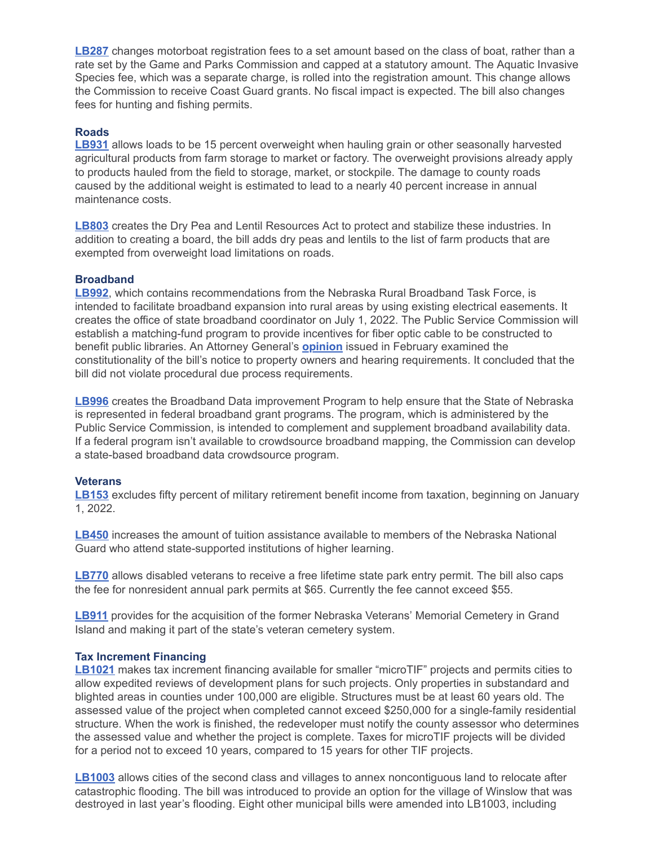**[LB287](https://nebraskalegislature.gov/bills/view_bill.php?DocumentID=37388)** changes motorboat registration fees to a set amount based on the class of boat, rather than a rate set by the Game and Parks Commission and capped at a statutory amount. The Aquatic Invasive Species fee, which was a separate charge, is rolled into the registration amount. This change allows the Commission to receive Coast Guard grants. No fiscal impact is expected. The bill also changes fees for hunting and fishing permits.

#### **Roads**

**[LB931](https://nebraskalegislature.gov/bills/view_bill.php?DocumentID=41151)** allows loads to be 15 percent overweight when hauling grain or other seasonally harvested agricultural products from farm storage to market or factory. The overweight provisions already apply to products hauled from the field to storage, market, or stockpile. The damage to county roads caused by the additional weight is estimated to lead to a nearly 40 percent increase in annual maintenance costs.

**[LB803](https://nebraskalegislature.gov/bills/view_bill.php?DocumentID=40852)** creates the Dry Pea and Lentil Resources Act to protect and stabilize these industries. In addition to creating a board, the bill adds dry peas and lentils to the list of farm products that are exempted from overweight load limitations on roads.

#### **Broadband**

**[LB992](https://nebraskalegislature.gov/bills/view_bill.php?DocumentID=41269)**, which contains recommendations from the Nebraska Rural Broadband Task Force, is intended to facilitate broadband expansion into rural areas by using existing electrical easements. It creates the office of state broadband coordinator on July 1, 2022. The Public Service Commission will establish a matching-fund program to provide incentives for fiber optic cable to be constructed to benefit public libraries. An Attorney General's **[opinion](https://ago.nebraska.gov/sites/ago.nebraska.gov/files/docs/opinions/AG%20Opinion%2020-003.pdf)** issued in February examined the constitutionality of the bill's notice to property owners and hearing requirements. It concluded that the bill did not violate procedural due process requirements.

**[LB996](https://nebraskalegislature.gov/bills/view_bill.php?DocumentID=41109)** creates the Broadband Data improvement Program to help ensure that the State of Nebraska is represented in federal broadband grant programs. The program, which is administered by the Public Service Commission, is intended to complement and supplement broadband availability data. If a federal program isn't available to crowdsource broadband mapping, the Commission can develop a state-based broadband data crowdsource program.

#### **Veterans**

**[LB153](https://nebraskalegislature.gov/bills/view_bill.php?DocumentID=37489)** excludes fifty percent of military retirement benefit income from taxation, beginning on January 1, 2022.

**[LB450](https://nebraskalegislature.gov/bills/view_bill.php?DocumentID=37731)** increases the amount of tuition assistance available to members of the Nebraska National Guard who attend state-supported institutions of higher learning.

**[LB770](https://nebraskalegislature.gov/bills/view_bill.php?DocumentID=40997)** allows disabled veterans to receive a free lifetime state park entry permit. The bill also caps the fee for nonresident annual park permits at \$65. Currently the fee cannot exceed \$55.

**[LB911](https://nebraskalegislature.gov/bills/view_bill.php?DocumentID=40884)** provides for the acquisition of the former Nebraska Veterans' Memorial Cemetery in Grand Island and making it part of the state's veteran cemetery system.

#### **Tax Increment Financing**

**[LB1021](https://nebraskalegislature.gov/bills/view_bill.php?DocumentID=40922)** makes tax increment financing available for smaller "microTIF" projects and permits cities to allow expedited reviews of development plans for such projects. Only properties in substandard and blighted areas in counties under 100,000 are eligible. Structures must be at least 60 years old. The assessed value of the project when completed cannot exceed \$250,000 for a single-family residential structure. When the work is finished, the redeveloper must notify the county assessor who determines the assessed value and whether the project is complete. Taxes for microTIF projects will be divided for a period not to exceed 10 years, compared to 15 years for other TIF projects.

**[LB1003](https://nebraskalegislature.gov/bills/view_bill.php?DocumentID=41482)** allows cities of the second class and villages to annex noncontiguous land to relocate after catastrophic flooding. The bill was introduced to provide an option for the village of Winslow that was destroyed in last year's flooding. Eight other municipal bills were amended into LB1003, including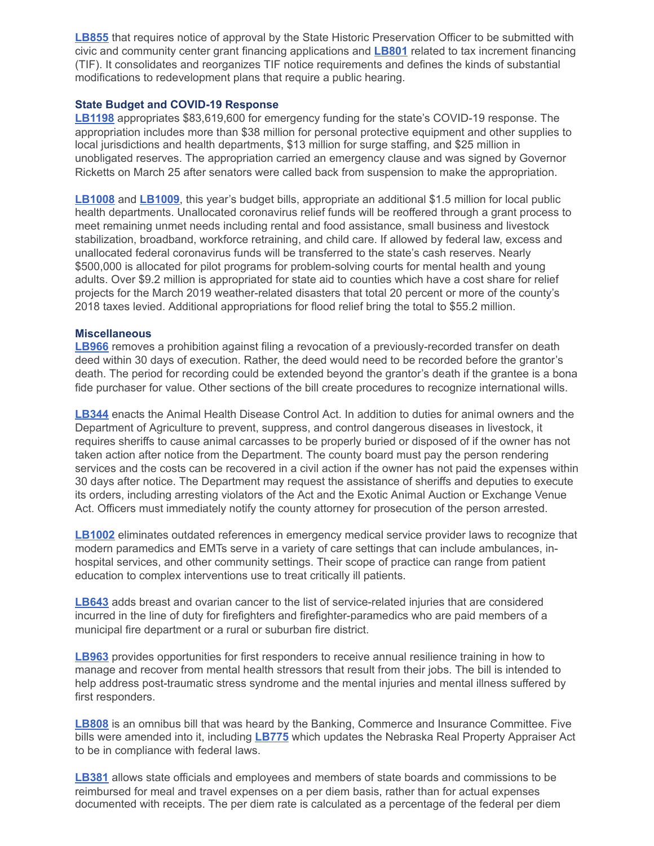**[LB855](https://nebraskalegislature.gov/bills/view_bill.php?DocumentID=40868)** that requires notice of approval by the State Historic Preservation Officer to be submitted with civic and community center grant financing applications and **[LB801](https://nebraskalegislature.gov/bills/view_bill.php?DocumentID=40905)** related to tax increment financing (TIF). It consolidates and reorganizes TIF notice requirements and defines the kinds of substantial modifications to redevelopment plans that require a public hearing.

## **State Budget and COVID-19 Response**

**[LB1198](https://nebraskalegislature.gov/bills/view_bill.php?DocumentID=41600)** appropriates \$83,619,600 for emergency funding for the state's COVID-19 response. The appropriation includes more than \$38 million for personal protective equipment and other supplies to local jurisdictions and health departments, \$13 million for surge staffing, and \$25 million in unobligated reserves. The appropriation carried an emergency clause and was signed by Governor Ricketts on March 25 after senators were called back from suspension to make the appropriation.

**[LB1008](https://nebraskalegislature.gov/bills/view_bill.php?DocumentID=41164)** and **[LB1009](https://nebraskalegislature.gov/bills/view_bill.php?DocumentID=41166)**, this year's budget bills, appropriate an additional \$1.5 million for local public health departments. Unallocated coronavirus relief funds will be reoffered through a grant process to meet remaining unmet needs including rental and food assistance, small business and livestock stabilization, broadband, workforce retraining, and child care. If allowed by federal law, excess and unallocated federal coronavirus funds will be transferred to the state's cash reserves. Nearly \$500,000 is allocated for pilot programs for problem-solving courts for mental health and young adults. Over \$9.2 million is appropriated for state aid to counties which have a cost share for relief projects for the March 2019 weather-related disasters that total 20 percent or more of the county's 2018 taxes levied. Additional appropriations for flood relief bring the total to \$55.2 million.

#### **Miscellaneous**

**[LB966](https://nebraskalegislature.gov/bills/view_bill.php?DocumentID=40802)** removes a prohibition against filing a revocation of a previously-recorded transfer on death deed within 30 days of execution. Rather, the deed would need to be recorded before the grantor's death. The period for recording could be extended beyond the grantor's death if the grantee is a bona fide purchaser for value. Other sections of the bill create procedures to recognize international wills.

**[LB344](https://nebraskalegislature.gov/bills/view_bill.php?DocumentID=37274)** enacts the Animal Health Disease Control Act. In addition to duties for animal owners and the Department of Agriculture to prevent, suppress, and control dangerous diseases in livestock, it requires sheriffs to cause animal carcasses to be properly buried or disposed of if the owner has not taken action after notice from the Department. The county board must pay the person rendering services and the costs can be recovered in a civil action if the owner has not paid the expenses within 30 days after notice. The Department may request the assistance of sheriffs and deputies to execute its orders, including arresting violators of the Act and the Exotic Animal Auction or Exchange Venue Act. Officers must immediately notify the county attorney for prosecution of the person arrested.

**[LB1002](https://nebraskalegislature.gov/bills/view_bill.php?DocumentID=41111)** eliminates outdated references in emergency medical service provider laws to recognize that modern paramedics and EMTs serve in a variety of care settings that can include ambulances, inhospital services, and other community settings. Their scope of practice can range from patient education to complex interventions use to treat critically ill patients.

**[LB643](https://nebraskalegislature.gov/bills/view_bill.php?DocumentID=37846)** adds breast and ovarian cancer to the list of service-related injuries that are considered incurred in the line of duty for firefighters and firefighter-paramedics who are paid members of a municipal fire department or a rural or suburban fire district.

**[LB963](https://nebraskalegislature.gov/bills/view_bill.php?DocumentID=40792)** provides opportunities for first responders to receive annual resilience training in how to manage and recover from mental health stressors that result from their jobs. The bill is intended to help address post-traumatic stress syndrome and the mental injuries and mental illness suffered by first responders.

**[LB808](https://nebraskalegislature.gov/bills/view_bill.php?DocumentID=41168)** is an omnibus bill that was heard by the Banking, Commerce and Insurance Committee. Five bills were amended into it, including **[LB775](https://nebraskalegislature.gov/bills/view_bill.php?DocumentID=40791)** which updates the Nebraska Real Property Appraiser Act to be in compliance with federal laws.

**[LB381](https://nebraskalegislature.gov/bills/view_bill.php?DocumentID=37042)** allows state officials and employees and members of state boards and commissions to be reimbursed for meal and travel expenses on a per diem basis, rather than for actual expenses documented with receipts. The per diem rate is calculated as a percentage of the federal per diem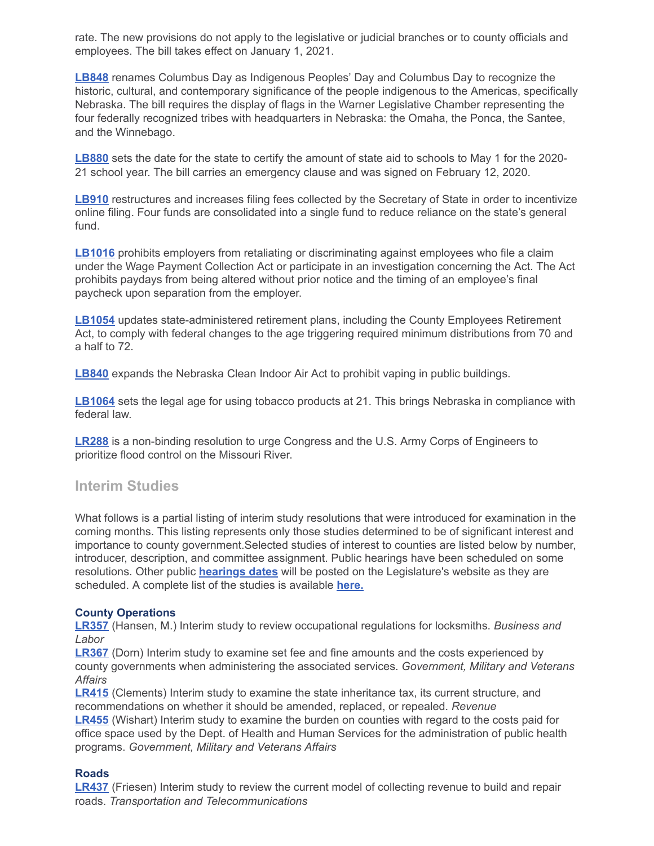rate. The new provisions do not apply to the legislative or judicial branches or to county officials and employees. The bill takes effect on January 1, 2021.

**[LB848](https://nebraskalegislature.gov/bills/view_bill.php?DocumentID=40988)** renames Columbus Day as Indigenous Peoples' Day and Columbus Day to recognize the historic, cultural, and contemporary significance of the people indigenous to the Americas, specifically Nebraska. The bill requires the display of flags in the Warner Legislative Chamber representing the four federally recognized tribes with headquarters in Nebraska: the Omaha, the Ponca, the Santee, and the Winnebago.

**[LB880](https://nebraskalegislature.gov/bills/view_bill.php?DocumentID=41257)** sets the date for the state to certify the amount of state aid to schools to May 1 for the 2020- 21 school year. The bill carries an emergency clause and was signed on February 12, 2020.

**[LB910](https://nebraskalegislature.gov/bills/view_bill.php?DocumentID=41026)** restructures and increases filing fees collected by the Secretary of State in order to incentivize online filing. Four funds are consolidated into a single fund to reduce reliance on the state's general fund.

**[LB1016](https://nebraskalegislature.gov/bills/view_bill.php?DocumentID=40826)** prohibits employers from retaliating or discriminating against employees who file a claim under the Wage Payment Collection Act or participate in an investigation concerning the Act. The Act prohibits paydays from being altered without prior notice and the timing of an employee's final paycheck upon separation from the employer.

**[LB1054](https://nebraskalegislature.gov/bills/view_bill.php?DocumentID=41316)** updates state-administered retirement plans, including the County Employees Retirement Act, to comply with federal changes to the age triggering required minimum distributions from 70 and a half to 72.

**[LB840](https://nebraskalegislature.gov/bills/view_bill.php?DocumentID=40824)** expands the Nebraska Clean Indoor Air Act to prohibit vaping in public buildings.

**[LB1064](https://nebraskalegislature.gov/bills/view_bill.php?DocumentID=41370)** sets the legal age for using tobacco products at 21. This brings Nebraska in compliance with federal law.

**[LR288](https://nebraskalegislature.gov/bills/view_bill.php?DocumentID=40978)** is a non-binding resolution to urge Congress and the U.S. Army Corps of Engineers to prioritize flood control on the Missouri River.

# **Interim Studies**

What follows is a partial listing of interim study resolutions that were introduced for examination in the coming months. This listing represents only those studies determined to be of significant interest and importance to county government.Selected studies of interest to counties are listed below by number, introducer, description, and committee assignment. Public hearings have been scheduled on some resolutions. Other public **[hearings dates](https://nebraskalegislature.gov/calendar/hearings_range.php)** will be posted on the Legislature's website as they are scheduled. A complete list of the studies is available **[here.](https://nebraskalegislature.gov/session/interim.php)**

#### **County Operations**

**[LR357](https://nebraskalegislature.gov/bills/view_bill.php?DocumentID=42792)** (Hansen, M.) Interim study to review occupational regulations for locksmiths. *Business and Labor*

**[LR367](https://nebraskalegislature.gov/bills/view_bill.php?DocumentID=42983)** (Dorn) Interim study to examine set fee and fine amounts and the costs experienced by county governments when administering the associated services. *Government, Military and Veterans Affairs*

**[LR415](https://nebraskalegislature.gov/bills/view_bill.php?DocumentID=43016)** (Clements) Interim study to examine the state inheritance tax, its current structure, and recommendations on whether it should be amended, replaced, or repealed. *Revenue* **[LR455](https://nebraskalegislature.gov/bills/view_bill.php?DocumentID=42858)** (Wishart) Interim study to examine the burden on counties with regard to the costs paid for office space used by the Dept. of Health and Human Services for the administration of public health programs. *Government, Military and Veterans Affairs*

#### **Roads**

**[LR437](https://nebraskalegislature.gov/bills/view_bill.php?DocumentID=43020)** (Friesen) Interim study to review the current model of collecting revenue to build and repair roads. *Transportation and Telecommunications*